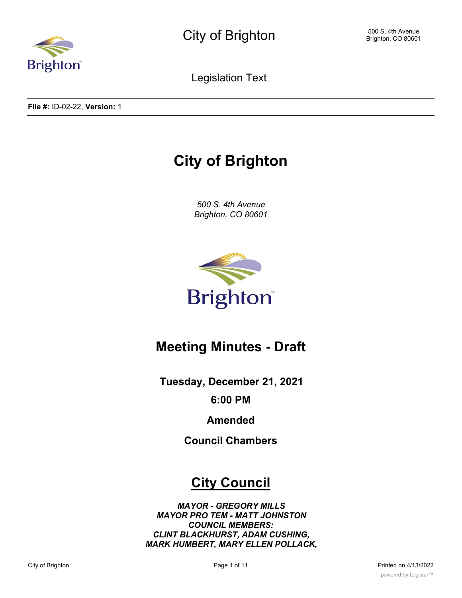

Legislation Text

**File #:** ID-02-22, **Version:** 1

# **City of Brighton**

*500 S. 4th Avenue Brighton, CO 80601*



## **Meeting Minutes - Draft**

**Tuesday, December 21, 2021**

**6:00 PM**

**Amended**

**Council Chambers**

## **City Council**

*MAYOR - GREGORY MILLS MAYOR PRO TEM - MATT JOHNSTON COUNCIL MEMBERS: CLINT BLACKHURST, ADAM CUSHING, MARK HUMBERT, MARY ELLEN POLLACK,*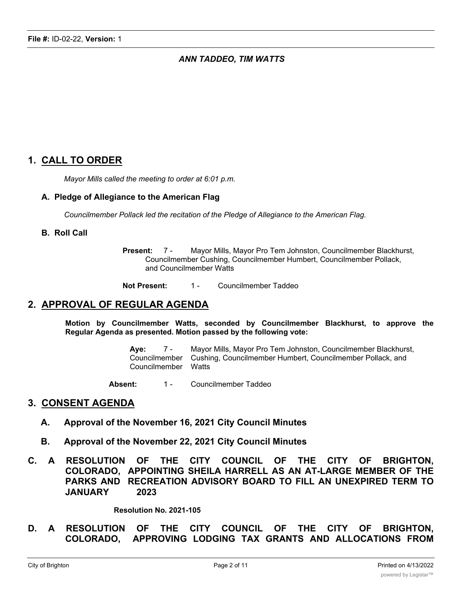### *ANN TADDEO, TIM WATTS*

## **1. CALL TO ORDER**

*Mayor Mills called the meeting to order at 6:01 p.m.*

#### **A. Pledge of Allegiance to the American Flag**

*Councilmember Pollack led the recitation of the Pledge of Allegiance to the American Flag.*

#### **B. Roll Call**

**Present:** 7 - Mayor Mills, Mayor Pro Tem Johnston, Councilmember Blackhurst, Councilmember Cushing, Councilmember Humbert, Councilmember Pollack, and Councilmember Watts

**Not Present:** 1 - Councilmember Taddeo

## **2. APPROVAL OF REGULAR AGENDA**

**Motion by Councilmember Watts, seconded by Councilmember Blackhurst, to approve the Regular Agenda as presented. Motion passed by the following vote:**

> **Aye:** 7 - Mayor Mills, Mayor Pro Tem Johnston, Councilmember Blackhurst, Councilmember Cushing, Councilmember Humbert, Councilmember Pollack, and Councilmember Watts

Absent: 1 - Councilmember Taddeo

#### **3. CONSENT AGENDA**

- **A. Approval of the November 16, 2021 City Council Minutes**
- **B. Approval of the November 22, 2021 City Council Minutes**
- **C. A RESOLUTION OF THE CITY COUNCIL OF THE CITY OF BRIGHTON, COLORADO, APPOINTING SHEILA HARRELL AS AN AT-LARGE MEMBER OF THE PARKS AND RECREATION ADVISORY BOARD TO FILL AN UNEXPIRED TERM TO JANUARY 2023**

**Resolution No. 2021-105**

**D. A RESOLUTION OF THE CITY COUNCIL OF THE CITY OF BRIGHTON, COLORADO, APPROVING LODGING TAX GRANTS AND ALLOCATIONS FROM**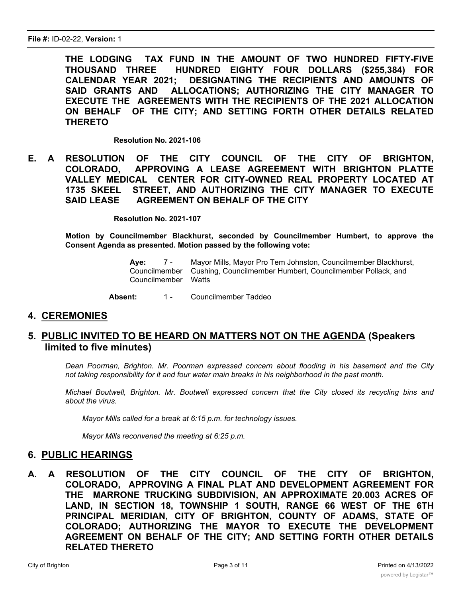**THE LODGING TAX FUND IN THE AMOUNT OF TWO HUNDRED FIFTY-FIVE THOUSAND THREE HUNDRED EIGHTY FOUR DOLLARS (\$255,384) FOR CALENDAR YEAR 2021; DESIGNATING THE RECIPIENTS AND AMOUNTS OF SAID GRANTS AND ALLOCATIONS; AUTHORIZING THE CITY MANAGER TO EXECUTE THE AGREEMENTS WITH THE RECIPIENTS OF THE 2021 ALLOCATION ON BEHALF OF THE CITY; AND SETTING FORTH OTHER DETAILS RELATED THERETO**

**Resolution No. 2021-106**

**E. A RESOLUTION OF THE CITY COUNCIL OF THE CITY OF BRIGHTON, COLORADO, APPROVING A LEASE AGREEMENT WITH BRIGHTON PLATTE VALLEY MEDICAL CENTER FOR CITY-OWNED REAL PROPERTY LOCATED AT 1735 SKEEL STREET, AND AUTHORIZING THE CITY MANAGER TO EXECUTE SAID LEASE AGREEMENT ON BEHALF OF THE CITY**

**Resolution No. 2021-107**

**Motion by Councilmember Blackhurst, seconded by Councilmember Humbert, to approve the Consent Agenda as presented. Motion passed by the following vote:**

> **Aye:** 7 - Mayor Mills, Mayor Pro Tem Johnston, Councilmember Blackhurst, Councilmember Cushing, Councilmember Humbert, Councilmember Pollack, and Councilmember Watts

Absent: 1 - Councilmember Taddeo

## **4. CEREMONIES**

## **5. PUBLIC INVITED TO BE HEARD ON MATTERS NOT ON THE AGENDA (Speakers limited to five minutes)**

*Dean Poorman, Brighton. Mr. Poorman expressed concern about flooding in his basement and the City not taking responsibility for it and four water main breaks in his neighborhood in the past month.*

*Michael Boutwell, Brighton. Mr. Boutwell expressed concern that the City closed its recycling bins and about the virus.*

*Mayor Mills called for a break at 6:15 p.m. for technology issues.*

*Mayor Mills reconvened the meeting at 6:25 p.m.*

## **6. PUBLIC HEARINGS**

**A. A RESOLUTION OF THE CITY COUNCIL OF THE CITY OF BRIGHTON, COLORADO, APPROVING A FINAL PLAT AND DEVELOPMENT AGREEMENT FOR THE MARRONE TRUCKING SUBDIVISION, AN APPROXIMATE 20.003 ACRES OF LAND, IN SECTION 18, TOWNSHIP 1 SOUTH, RANGE 66 WEST OF THE 6TH PRINCIPAL MERIDIAN, CITY OF BRIGHTON, COUNTY OF ADAMS, STATE OF COLORADO; AUTHORIZING THE MAYOR TO EXECUTE THE DEVELOPMENT AGREEMENT ON BEHALF OF THE CITY; AND SETTING FORTH OTHER DETAILS RELATED THERETO**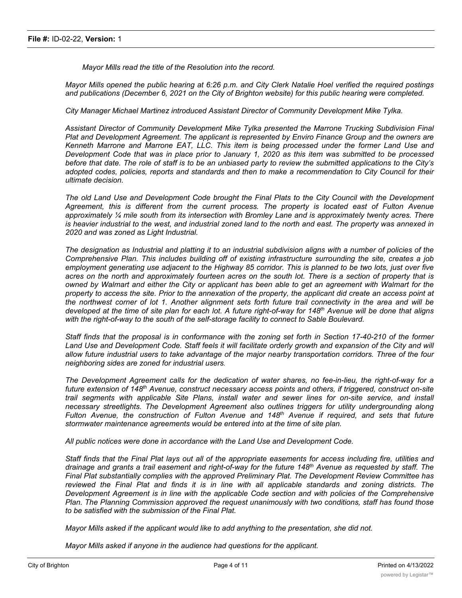*Mayor Mills read the title of the Resolution into the record.*

Mayor Mills opened the public hearing at 6:26 p.m. and City Clerk Natalie Hoel verified the required postings *and publications (December 6, 2021 on the City of Brighton website) for this public hearing were completed.*

*City Manager Michael Martinez introduced Assistant Director of Community Development Mike Tylka.*

*Assistant Director of Community Development Mike Tylka presented the Marrone Trucking Subdivision Final Plat and Development Agreement. The applicant is represented by Enviro Finance Group and the owners are Kenneth Marrone and Marrone EAT, LLC. This item is being processed under the former Land Use and* Development Code that was in place prior to January 1, 2020 as this item was submitted to be processed before that date. The role of staff is to be an unbiased party to review the submitted applications to the City's adopted codes, policies, reports and standards and then to make a recommendation to City Council for their *ultimate decision.*

The old Land Use and Development Code brought the Final Plats to the City Council with the Development *Agreement, this is different from the current process. The property is located east of Fulton Avenue approximately ¼ mile south from its intersection with Bromley Lane and is approximately twenty acres. There* is heavier industrial to the west, and industrial zoned land to the north and east. The property was annexed in *2020 and was zoned as Light Industrial.*

The designation as Industrial and platting it to an industrial subdivision aligns with a number of policies of the *Comprehensive Plan. This includes building off of existing infrastructure surrounding the site, creates a job* employment generating use adjacent to the Highway 85 corridor. This is planned to be two lots, just over five acres on the north and approximately fourteen acres on the south lot. There is a section of property that is owned by Walmart and either the City or applicant has been able to get an agreement with Walmart for the property to access the site. Prior to the annexation of the property, the applicant did create an access point at the northwest corner of lot 1. Another alignment sets forth future trail connectivity in the area and will be developed at the time of site plan for each lot. A future right-of-way for 148<sup>th</sup> Avenue will be done that aligns *with the right-of-way to the south of the self-storage facility to connect to Sable Boulevard.*

Staff finds that the proposal is in conformance with the zoning set forth in Section 17-40-210 of the former Land Use and Development Code. Staff feels it will facilitate orderly growth and expansion of the City and will allow future industrial users to take advantage of the major nearby transportation corridors. Three of the four *neighboring sides are zoned for industrial users.*

*The Development Agreement calls for the dedication of water shares, no fee-in-lieu, the right-of-way for a future extension of 148th Avenue, construct necessary access points and others, if triggered, construct on-site trail segments with applicable Site Plans, install water and sewer lines for on-site service, and install necessary streetlights. The Development Agreement also outlines triggers for utility undergrounding along Fulton Avenue, the construction of Fulton Avenue and 148th Avenue if required, and sets that future stormwater maintenance agreements would be entered into at the time of site plan.*

*All public notices were done in accordance with the Land Use and Development Code.*

Staff finds that the Final Plat lays out all of the appropriate easements for access including fire, utilities and drainage and grants a trail easement and right-of-way for the future 148<sup>th</sup> Avenue as requested by staff. The *Final Plat substantially complies with the approved Preliminary Plat. The Development Review Committee has* reviewed the Final Plat and finds it is in line with all applicable standards and zoning districts. The *Development Agreement is in line with the applicable Code section and with policies of the Comprehensive Plan. The Planning Commission approved the request unanimously with two conditions, staff has found those to be satisfied with the submission of the Final Plat.*

*Mayor Mills asked if the applicant would like to add anything to the presentation, she did not.*

*Mayor Mills asked if anyone in the audience had questions for the applicant.*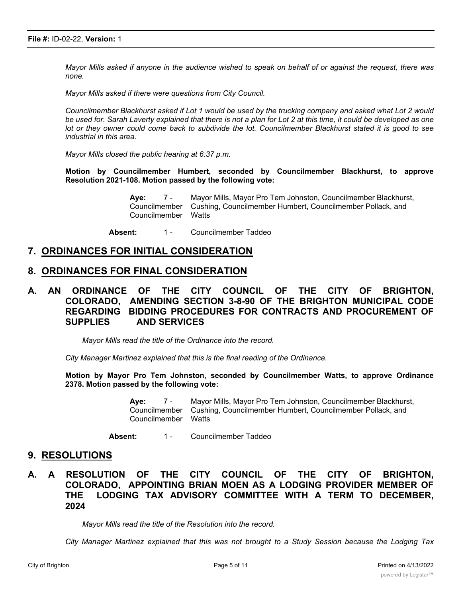Mayor Mills asked if anyone in the audience wished to speak on behalf of or against the request, there was *none.*

*Mayor Mills asked if there were questions from City Council.*

Councilmember Blackhurst asked if Lot 1 would be used by the trucking company and asked what Lot 2 would be used for. Sarah Laverty explained that there is not a plan for Lot 2 at this time, it could be developed as one lot or they owner could come back to subdivide the lot. Councilmember Blackhurst stated it is good to see *industrial in this area.*

*Mayor Mills closed the public hearing at 6:37 p.m.*

**Motion by Councilmember Humbert, seconded by Councilmember Blackhurst, to approve Resolution 2021-108. Motion passed by the following vote:**

> **Aye:** 7 - Mayor Mills, Mayor Pro Tem Johnston, Councilmember Blackhurst, Councilmember Cushing, Councilmember Humbert, Councilmember Pollack, and Councilmember Watts

Absent: 1 - Councilmember Taddeo

#### **7. ORDINANCES FOR INITIAL CONSIDERATION**

#### **8. ORDINANCES FOR FINAL CONSIDERATION**

**A. AN ORDINANCE OF THE CITY COUNCIL OF THE CITY OF BRIGHTON, COLORADO, AMENDING SECTION 3-8-90 OF THE BRIGHTON MUNICIPAL CODE REGARDING BIDDING PROCEDURES FOR CONTRACTS AND PROCUREMENT OF SUPPLIES AND SERVICES**

*Mayor Mills read the title of the Ordinance into the record.*

*City Manager Martinez explained that this is the final reading of the Ordinance.*

**Motion by Mayor Pro Tem Johnston, seconded by Councilmember Watts, to approve Ordinance 2378. Motion passed by the following vote:**

> **Aye:** 7 - Mayor Mills, Mayor Pro Tem Johnston, Councilmember Blackhurst, Councilmember Cushing, Councilmember Humbert, Councilmember Pollack, and Councilmember Watts

Absent: 1 - Councilmember Taddeo

#### **9. RESOLUTIONS**

### **A. A RESOLUTION OF THE CITY COUNCIL OF THE CITY OF BRIGHTON, COLORADO, APPOINTING BRIAN MOEN AS A LODGING PROVIDER MEMBER OF THE LODGING TAX ADVISORY COMMITTEE WITH A TERM TO DECEMBER, 2024**

*Mayor Mills read the title of the Resolution into the record.*

*City Manager Martinez explained that this was not brought to a Study Session because the Lodging Tax*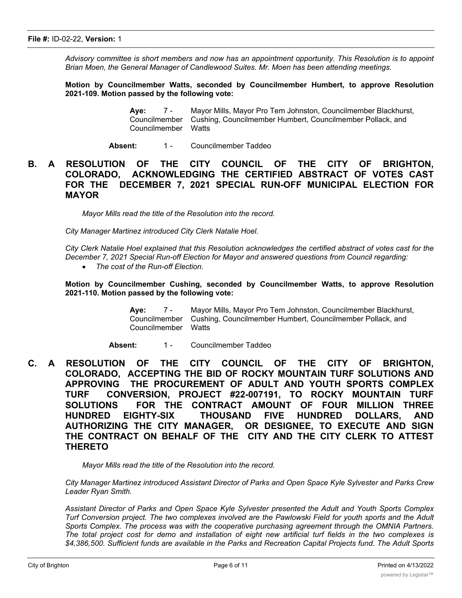*Advisory committee is short members and now has an appointment opportunity. This Resolution is to appoint Brian Moen, the General Manager of Candlewood Suites. Mr. Moen has been attending meetings.*

**Motion by Councilmember Watts, seconded by Councilmember Humbert, to approve Resolution 2021-109. Motion passed by the following vote:**

> **Aye:** 7 - Mayor Mills, Mayor Pro Tem Johnston, Councilmember Blackhurst, Councilmember Cushing, Councilmember Humbert, Councilmember Pollack, and Councilmember Watts

Absent: 1 - Councilmember Taddeo

## **B. A RESOLUTION OF THE CITY COUNCIL OF THE CITY OF BRIGHTON, COLORADO, ACKNOWLEDGING THE CERTIFIED ABSTRACT OF VOTES CAST FOR THE DECEMBER 7, 2021 SPECIAL RUN-OFF MUNICIPAL ELECTION FOR MAYOR**

*Mayor Mills read the title of the Resolution into the record.*

*City Manager Martinez introduced City Clerk Natalie Hoel.*

City Clerk Natalie Hoel explained that this Resolution acknowledges the certified abstract of votes cast for the *December 7, 2021 Special Run-off Election for Mayor and answered questions from Council regarding:*

· *The cost of the Run-off Election.*

**Motion by Councilmember Cushing, seconded by Councilmember Watts, to approve Resolution 2021-110. Motion passed by the following vote:**

> **Aye:** 7 - Mayor Mills, Mayor Pro Tem Johnston, Councilmember Blackhurst, Councilmember Cushing, Councilmember Humbert, Councilmember Pollack, and Councilmember Watts

Absent: 1 - Councilmember Taddeo

**C. A RESOLUTION OF THE CITY COUNCIL OF THE CITY OF BRIGHTON, COLORADO, ACCEPTING THE BID OF ROCKY MOUNTAIN TURF SOLUTIONS AND APPROVING THE PROCUREMENT OF ADULT AND YOUTH SPORTS COMPLEX TURF CONVERSION, PROJECT #22-007191, TO ROCKY MOUNTAIN TURF SOLUTIONS FOR THE CONTRACT AMOUNT OF FOUR MILLION THREE HUNDRED EIGHTY-SIX THOUSAND FIVE HUNDRED DOLLARS, AND AUTHORIZING THE CITY MANAGER, OR DESIGNEE, TO EXECUTE AND SIGN THE CONTRACT ON BEHALF OF THE CITY AND THE CITY CLERK TO ATTEST THERETO**

*Mayor Mills read the title of the Resolution into the record.*

*City Manager Martinez introduced Assistant Director of Parks and Open Space Kyle Sylvester and Parks Crew Leader Ryan Smith.*

*Assistant Director of Parks and Open Space Kyle Sylvester presented the Adult and Youth Sports Complex* Turf Conversion project. The two complexes involved are the Pawlowski Field for youth sports and the Adult *Sports Complex. The process was with the cooperative purchasing agreement through the OMNIA Partners.* The total project cost for demo and installation of eight new artificial turf fields in the two complexes is *\$4,386,500. Sufficient funds are available in the Parks and Recreation Capital Projects fund. The Adult Sports*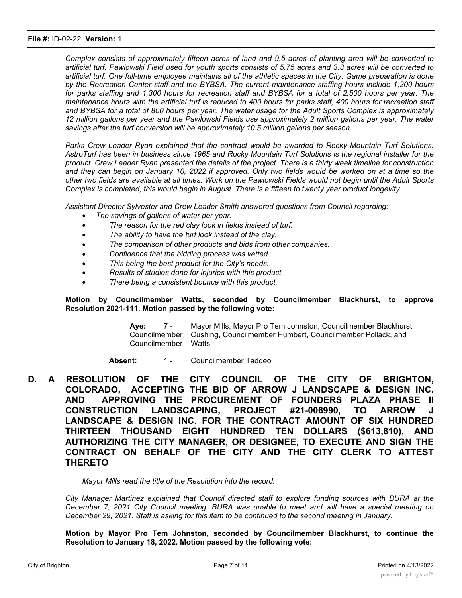#### **File #:** ID-02-22, **Version:** 1

Complex consists of approximately fifteen acres of land and 9.5 acres of planting area will be converted to artificial turf. Pawlowski Field used for youth sports consists of 5.75 acres and 3.3 acres will be converted to artificial turf. One full-time employee maintains all of the athletic spaces in the City. Game preparation is done *by the Recreation Center staff and the BYBSA. The current maintenance staffing hours include 1,200 hours* for parks staffing and 1.300 hours for recreation staff and BYBSA for a total of 2.500 hours per year. The maintenance hours with the artificial turf is reduced to 400 hours for parks staff, 400 hours for recreation staff and BYBSA for a total of 800 hours per year. The water usage for the Adult Sports Complex is approximately 12 million gallons per year and the Pawlowski Fields use approximately 2 million gallons per year. The water *savings after the turf conversion will be approximately 10.5 million gallons per season.*

*Parks Crew Leader Ryan explained that the contract would be awarded to Rocky Mountain Turf Solutions.* AstroTurf has been in business since 1965 and Rocky Mountain Turf Solutions is the regional installer for the product. Crew Leader Ryan presented the details of the project. There is a thirty week timeline for construction and they can begin on January 10, 2022 if approved. Only two fields would be worked on at a time so the other two fields are available at all times. Work on the Pawlowski Fields would not begin until the Adult Sports *Complex is completed, this would begin in August. There is a fifteen to twenty year product longevity.*

*Assistant Director Sylvester and Crew Leader Smith answered questions from Council regarding:*

- · *The savings of gallons of water per year.*
- · *The reason for the red clay look in fields instead of turf.*
- · *The ability to have the turf look instead of the clay.*
- · *The comparison of other products and bids from other companies.*
- · *Confidence that the bidding process was vetted.*
- This being the best product for the City's needs.
- · *Results of studies done for injuries with this product.*
- · *There being a consistent bounce with this product.*

#### **Motion by Councilmember Watts, seconded by Councilmember Blackhurst, to approve Resolution 2021-111. Motion passed by the following vote:**

**Aye:** 7 - Mayor Mills, Mayor Pro Tem Johnston, Councilmember Blackhurst, Councilmember Cushing, Councilmember Humbert, Councilmember Pollack, and Councilmember Watts

Absent: 1 - Councilmember Taddeo

**D. A RESOLUTION OF THE CITY COUNCIL OF THE CITY OF BRIGHTON, COLORADO, ACCEPTING THE BID OF ARROW J LANDSCAPE & DESIGN INC. AND APPROVING THE PROCUREMENT OF FOUNDERS PLAZA PHASE II CONSTRUCTION LANDSCAPING, PROJECT #21-006990, TO ARROW J LANDSCAPE & DESIGN INC. FOR THE CONTRACT AMOUNT OF SIX HUNDRED THIRTEEN THOUSAND EIGHT HUNDRED TEN DOLLARS (\$613,810), AND AUTHORIZING THE CITY MANAGER, OR DESIGNEE, TO EXECUTE AND SIGN THE CONTRACT ON BEHALF OF THE CITY AND THE CITY CLERK TO ATTEST THERETO**

*Mayor Mills read the title of the Resolution into the record.*

*City Manager Martinez explained that Council directed staff to explore funding sources with BURA at the December 7, 2021 City Council meeting. BURA was unable to meet and will have a special meeting on December 29, 2021. Staff is asking for this item to be continued to the second meeting in January.*

**Motion by Mayor Pro Tem Johnston, seconded by Councilmember Blackhurst, to continue the Resolution to January 18, 2022. Motion passed by the following vote:**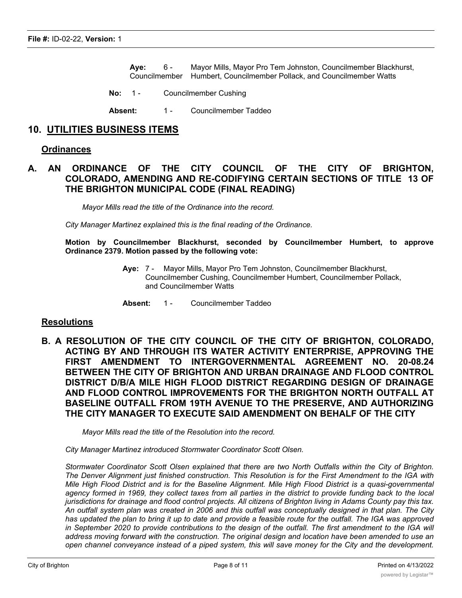**Aye:** 6 - Mayor Mills, Mayor Pro Tem Johnston, Councilmember Blackhurst, Councilmember Humbert, Councilmember Pollack, and Councilmember Watts

- **No:** 1 Councilmember Cushing
- Absent: 1 Councilmember Taddeo

## **10. UTILITIES BUSINESS ITEMS**

#### **Ordinances**

## **A. AN ORDINANCE OF THE CITY COUNCIL OF THE CITY OF BRIGHTON, COLORADO, AMENDING AND RE-CODIFYING CERTAIN SECTIONS OF TITLE 13 OF THE BRIGHTON MUNICIPAL CODE (FINAL READING)**

*Mayor Mills read the title of the Ordinance into the record.*

*City Manager Martinez explained this is the final reading of the Ordinance.*

**Motion by Councilmember Blackhurst, seconded by Councilmember Humbert, to approve Ordinance 2379. Motion passed by the following vote:**

- **Aye:** 7 Mayor Mills, Mayor Pro Tem Johnston, Councilmember Blackhurst, Councilmember Cushing, Councilmember Humbert, Councilmember Pollack, and Councilmember Watts
- Absent: 1 Councilmember Taddeo

#### **Resolutions**

**B. A RESOLUTION OF THE CITY COUNCIL OF THE CITY OF BRIGHTON, COLORADO, ACTING BY AND THROUGH ITS WATER ACTIVITY ENTERPRISE, APPROVING THE FIRST AMENDMENT TO INTERGOVERNMENTAL AGREEMENT NO. 20-08.24 BETWEEN THE CITY OF BRIGHTON AND URBAN DRAINAGE AND FLOOD CONTROL DISTRICT D/B/A MILE HIGH FLOOD DISTRICT REGARDING DESIGN OF DRAINAGE AND FLOOD CONTROL IMPROVEMENTS FOR THE BRIGHTON NORTH OUTFALL AT BASELINE OUTFALL FROM 19TH AVENUE TO THE PRESERVE, AND AUTHORIZING THE CITY MANAGER TO EXECUTE SAID AMENDMENT ON BEHALF OF THE CITY**

*Mayor Mills read the title of the Resolution into the record.*

*City Manager Martinez introduced Stormwater Coordinator Scott Olsen.*

*Stormwater Coordinator Scott Olsen explained that there are two North Outfalls within the City of Brighton.* The Denver Alignment just finished construction. This Resolution is for the First Amendment to the IGA with Mile High Flood District and is for the Baseline Alignment. Mile High Flood District is a quasi-governmental agency formed in 1969, they collect taxes from all parties in the district to provide funding back to the local jurisdictions for drainage and flood control projects. All citizens of Brighton living in Adams County pay this tax. An outfall system plan was created in 2006 and this outfall was conceptually designed in that plan. The City has updated the plan to bring it up to date and provide a feasible route for the outfall. The IGA was approved in September 2020 to provide contributions to the design of the outfall. The first amendment to the IGA will address moving forward with the construction. The original design and location have been amended to use an open channel conveyance instead of a piped system, this will save money for the City and the development.

,我们也不会有什么。""我们的人,我们也不会有什么?""我们的人,我们也不会有什么?""我们的人,我们的人,我们的人,我们的人,我们的人,我们的人,我们的人,我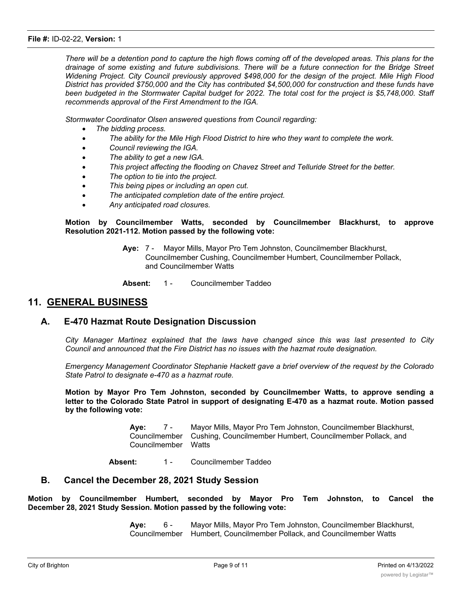There will be a detention pond to capture the high flows coming off of the developed areas. This plans for the drainage of some existing and future subdivisions. There will be a future connection for the Bridge Street *Widening Project. City Council previously approved \$498,000 for the design of the project. Mile High Flood District has provided \$750,000 and the City has contributed \$4,500,000 for construction and these funds have* been budgeted in the Stormwater Capital budget for 2022. The total cost for the project is \$5,748,000. Staff *recommends approval of the First Amendment to the IGA.*

*Stormwater Coordinator Olsen answered questions from Council regarding:*

- · *The bidding process.*
- · *The ability for the Mile High Flood District to hire who they want to complete the work.*
- · *Council reviewing the IGA.*
- · *The ability to get a new IGA.*
- · *This project affecting the flooding on Chavez Street and Telluride Street for the better.*
- · *The option to tie into the project.*
- · *This being pipes or including an open cut.*
- · *The anticipated completion date of the entire project.*
- · *Any anticipated road closures.*

**Motion by Councilmember Watts, seconded by Councilmember Blackhurst, to approve Resolution 2021-112. Motion passed by the following vote:**

- **Aye:** 7 Mayor Mills, Mayor Pro Tem Johnston, Councilmember Blackhurst, Councilmember Cushing, Councilmember Humbert, Councilmember Pollack, and Councilmember Watts
- **Absent:** 1 Councilmember Taddeo

## **11. GENERAL BUSINESS**

#### **A. E-470 Hazmat Route Designation Discussion**

*City Manager Martinez explained that the laws have changed since this was last presented to City Council and announced that the Fire District has no issues with the hazmat route designation.*

*Emergency Management Coordinator Stephanie Hackett gave a brief overview of the request by the Colorado State Patrol to designate e-470 as a hazmat route.*

**Motion by Mayor Pro Tem Johnston, seconded by Councilmember Watts, to approve sending a letter to the Colorado State Patrol in support of designating E-470 as a hazmat route. Motion passed by the following vote:**

> **Aye:** 7 - Mayor Mills, Mayor Pro Tem Johnston, Councilmember Blackhurst, Councilmember Cushing, Councilmember Humbert, Councilmember Pollack, and Councilmember Watts

Absent: 1 - Councilmember Taddeo

#### **B. Cancel the December 28, 2021 Study Session**

**Motion by Councilmember Humbert, seconded by Mayor Pro Tem Johnston, to Cancel the December 28, 2021 Study Session. Motion passed by the following vote:**

> **Aye:** 6 - Mayor Mills, Mayor Pro Tem Johnston, Councilmember Blackhurst, Councilmember Humbert, Councilmember Pollack, and Councilmember Watts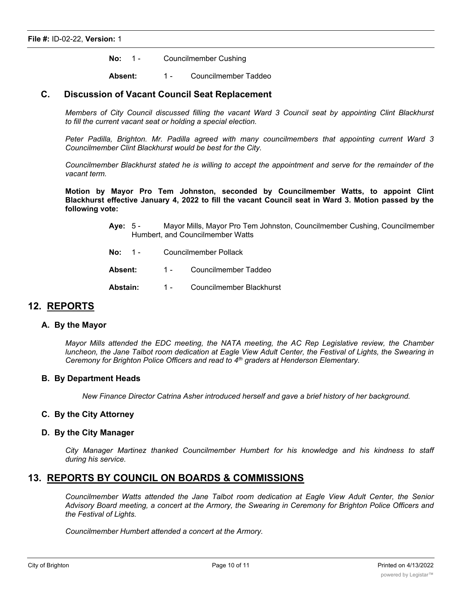**No:** 1 - Councilmember Cushing

Absent: 1 - Councilmember Taddeo

#### **C. Discussion of Vacant Council Seat Replacement**

*Members of City Council discussed filling the vacant Ward 3 Council seat by appointing Clint Blackhurst to fill the current vacant seat or holding a special election.*

*Peter Padilla, Brighton. Mr. Padilla agreed with many councilmembers that appointing current Ward 3 Councilmember Clint Blackhurst would be best for the City.*

Councilmember Blackhurst stated he is willing to accept the appointment and serve for the remainder of the *vacant term.*

**Motion by Mayor Pro Tem Johnston, seconded by Councilmember Watts, to appoint Clint** Blackhurst effective January 4, 2022 to fill the vacant Council seat in Ward 3. Motion passed by the **following vote:**

- **Aye:** 5 Mayor Mills, Mayor Pro Tem Johnston, Councilmember Cushing, Councilmember Humbert, and Councilmember Watts
- **No:** 1 Councilmember Pollack
- Absent: 1 Councilmember Taddeo
- Abstain: 1 Councilmember Blackhurst

#### **12. REPORTS**

#### **A. By the Mayor**

*Mayor Mills attended the EDC meeting, the NATA meeting, the AC Rep Legislative review, the Chamber* luncheon, the Jane Talbot room dedication at Eagle View Adult Center, the Festival of Lights, the Swearing in *Ceremony for Brighton Police Officers and read to 4th graders at Henderson Elementary.*

#### **B. By Department Heads**

*New Finance Director Catrina Asher introduced herself and gave a brief history of her background.*

#### **C. By the City Attorney**

#### **D. By the City Manager**

*City Manager Martinez thanked Councilmember Humbert for his knowledge and his kindness to staff during his service.*

## **13. REPORTS BY COUNCIL ON BOARDS & COMMISSIONS**

*Councilmember Watts attended the Jane Talbot room dedication at Eagle View Adult Center, the Senior* Advisory Board meeting, a concert at the Armory, the Swearing in Ceremony for Brighton Police Officers and *the Festival of Lights.*

*Councilmember Humbert attended a concert at the Armory.*